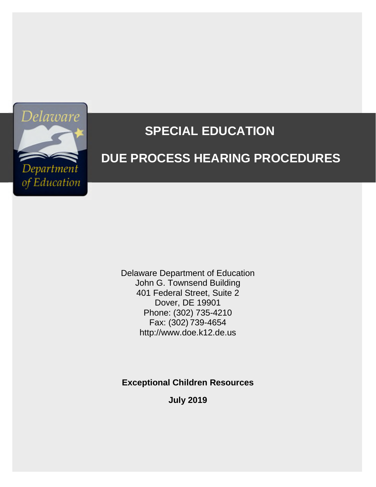

# **SPECIAL EDUCATION**

# **DUE PROCESS HEARING PROCEDURES**

Delaware Department of Education John G. Townsend Building 401 Federal Street, Suite 2 Dover, DE 19901 Phone: (302) 735-4210 Fax: (302) 739-4654 http://www.doe.k12.de.us

**Exceptional Children Resources**

**July 2019**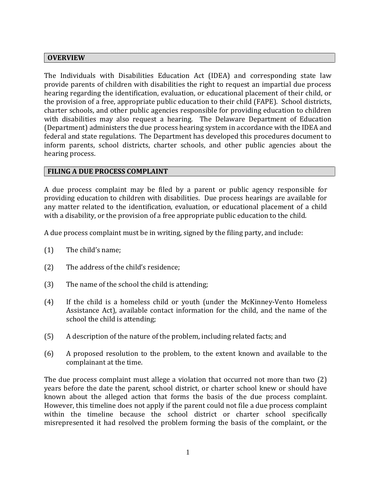## **OVERVIEW**

The Individuals with Disabilities Education Act (IDEA) and corresponding state law provide parents of children with disabilities the right to request an impartial due process hearing regarding the identification, evaluation, or educational placement of their child, or the provision of a free, appropriate public education to their child (FAPE). School districts, charter schools, and other public agencies responsible for providing education to children with disabilities may also request a hearing. The Delaware Department of Education (Department) administers the due process hearing system in accordance with the IDEA and federal and state regulations. The Department has developed this procedures document to inform parents, school districts, charter schools, and other public agencies about the hearing process.

# **FILING A DUE PROCESS COMPLAINT**

A due process complaint may be filed by a parent or public agency responsible for providing education to children with disabilities. Due process hearings are available for any matter related to the identification, evaluation, or educational placement of a child with a disability, or the provision of a free appropriate public education to the child.

A due process complaint must be in writing, signed by the filing party, and include:

- (1) The child's name;
- (2) The address of the child's residence;
- (3) The name of the school the child is attending;
- (4) If the child is a homeless child or youth (under the McKinney-Vento Homeless Assistance Act), available contact information for the child, and the name of the school the child is attending;
- (5) A description of the nature of the problem, including related facts; and
- (6) A proposed resolution to the problem, to the extent known and available to the complainant at the time.

The due process complaint must allege a violation that occurred not more than two (2) years before the date the parent, school district, or charter school knew or should have known about the alleged action that forms the basis of the due process complaint. However, this timeline does not apply if the parent could not file a due process complaint within the timeline because the school district or charter school specifically misrepresented it had resolved the problem forming the basis of the complaint, or the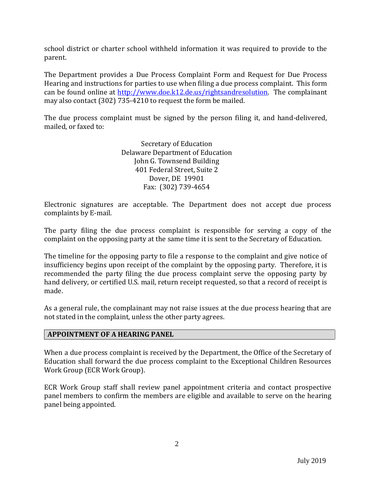school district or charter school withheld information it was required to provide to the parent.

The Department provides a Due Process Complaint Form and Request for Due Process Hearing and instructions for parties to use when filing a due process complaint. This form can be found online at http://www.doe.k12.de.us/rightsandresolution. The complainant may also contact (302) 735-4210 to request the form be mailed.

The due process complaint must be signed by the person filing it, and hand-delivered, mailed, or faxed to:

> Secretary of Education Delaware Department of Education John G. Townsend Building 401 Federal Street, Suite 2 Dover, DE 19901 Fax: (302) 739-4654

Electronic signatures are acceptable. The Department does not accept due process complaints by E-mail.

The party filing the due process complaint is responsible for serving a copy of the complaint on the opposing party at the same time it is sent to the Secretary of Education.

The timeline for the opposing party to file a response to the complaint and give notice of insufficiency begins upon receipt of the complaint by the opposing party. Therefore, it is recommended the party filing the due process complaint serve the opposing party by hand delivery, or certified U.S. mail, return receipt requested, so that a record of receipt is made.

As a general rule, the complainant may not raise issues at the due process hearing that are not stated in the complaint, unless the other party agrees.

#### **APPOINTMENT OF A HEARING PANEL**

When a due process complaint is received by the Department, the Office of the Secretary of Education shall forward the due process complaint to the Exceptional Children Resources Work Group (ECR Work Group).

ECR Work Group staff shall review panel appointment criteria and contact prospective panel members to confirm the members are eligible and available to serve on the hearing panel being appointed.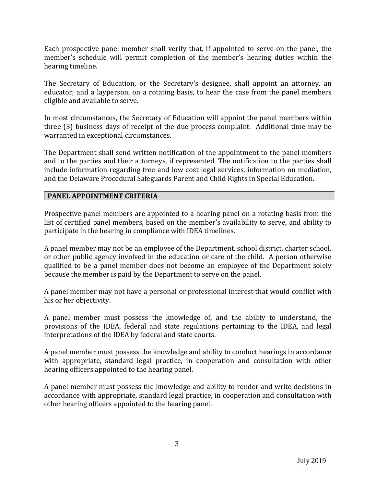Each prospective panel member shall verify that, if appointed to serve on the panel, the member's schedule will permit completion of the member's hearing duties within the hearing timeline.

The Secretary of Education, or the Secretary's designee, shall appoint an attorney, an educator; and a layperson, on a rotating basis, to hear the case from the panel members eligible and available to serve.

In most circumstances, the Secretary of Education will appoint the panel members within three (3) business days of receipt of the due process complaint. Additional time may be warranted in exceptional circumstances.

The Department shall send written notification of the appointment to the panel members and to the parties and their attorneys, if represented. The notification to the parties shall include information regarding free and low cost legal services, information on mediation, and the Delaware Procedural Safeguards Parent and Child Rights in Special Education.

## **PANEL APPOINTMENT CRITERIA**

Prospective panel members are appointed to a hearing panel on a rotating basis from the list of certified panel members, based on the member's availability to serve, and ability to participate in the hearing in compliance with IDEA timelines.

A panel member may not be an employee of the Department, school district, charter school, or other public agency involved in the education or care of the child. A person otherwise qualified to be a panel member does not become an employee of the Department solely because the member is paid by the Department to serve on the panel.

A panel member may not have a personal or professional interest that would conflict with his or her objectivity.

A panel member must possess the knowledge of, and the ability to understand, the provisions of the IDEA, federal and state regulations pertaining to the IDEA, and legal interpretations of the IDEA by federal and state courts.

A panel member must possess the knowledge and ability to conduct hearings in accordance with appropriate, standard legal practice, in cooperation and consultation with other hearing officers appointed to the hearing panel.

A panel member must possess the knowledge and ability to render and write decisions in accordance with appropriate, standard legal practice, in cooperation and consultation with other hearing officers appointed to the hearing panel.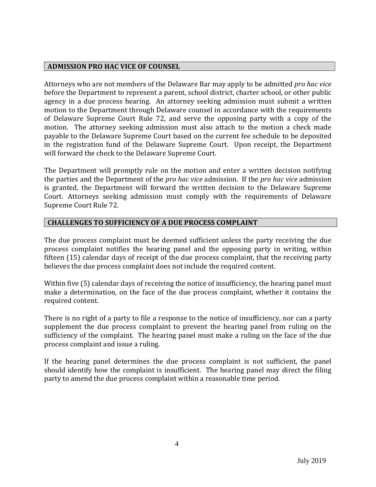## **ADMISSION PRO HAC VICE OF COUNSEL**

Attorneys who are not members of the Delaware Bar may apply to be admitted *pro hac vice* before the Department to represent a parent, school district, charter school, or other public agency in a due process hearing. An attorney seeking admission must submit a written motion to the Department through Delaware counsel in accordance with the requirements of Delaware Supreme Court Rule 72, and serve the opposing party with a copy of the motion. The attorney seeking admission must also attach to the motion a check made payable to the Delaware Supreme Court based on the current fee schedule to be deposited in the registration fund of the Delaware Supreme Court. Upon receipt, the Department will forward the check to the Delaware Supreme Court.

The Department will promptly rule on the motion and enter a written decision notifying the parties and the Department of the *pro hac vice* admission. If the *pro hac vice* admission is granted, the Department will forward the written decision to the Delaware Supreme Court. Attorneys seeking admission must comply with the requirements of Delaware Supreme Court Rule 72.

# **CHALLENGES TO SUFFICIENCY OF A DUE PROCESS COMPLAINT**

The due process complaint must be deemed sufficient unless the party receiving the due process complaint notifies the hearing panel and the opposing party in writing, within fifteen (15) calendar days of receipt of the due process complaint, that the receiving party believes the due process complaint does not include the required content.

Within five (5) calendar days of receiving the notice of insufficiency, the hearing panel must make a determination, on the face of the due process complaint, whether it contains the required content.

There is no right of a party to file a response to the notice of insufficiency, nor can a party supplement the due process complaint to prevent the hearing panel from ruling on the sufficiency of the complaint. The hearing panel must make a ruling on the face of the due process complaint and issue a ruling.

If the hearing panel determines the due process complaint is not sufficient, the panel should identify how the complaint is insufficient. The hearing panel may direct the filing party to amend the due process complaint within a reasonable time period.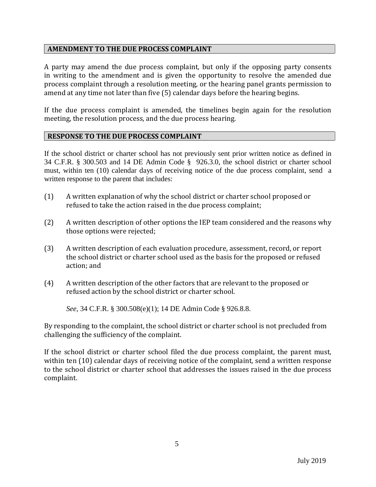## **AMENDMENT TO THE DUE PROCESS COMPLAINT**

A party may amend the due process complaint, but only if the opposing party consents in writing to the amendment and is given the opportunity to resolve the amended due process complaint through a resolution meeting, or the hearing panel grants permission to amend at any time not later than five (5) calendar days before the hearing begins.

If the due process complaint is amended, the timelines begin again for the resolution meeting, the resolution process, and the due process hearing.

#### **RESPONSE TO THE DUE PROCESS COMPLAINT**

If the school district or charter school has not previously sent prior written notice as defined in 34 C.F.R. § 300.503 and 14 DE Admin Code § 926.3.0, the school district or charter school must, within ten (10) calendar days of receiving notice of the due process complaint, send a written response to the parent that includes:

- (1) A written explanation of why the school district or charter school proposed or refused to take the action raised in the due process complaint;
- (2) A written description of other options the IEP team considered and the reasons why those options were rejected;
- (3) A written description of each evaluation procedure, assessment, record, or report the school district or charter school used as the basis for the proposed or refused action; and
- (4) A written description of the other factors that are relevant to the proposed or refused action by the school district or charter school.

*See,* 34 C.F.R. § 300.508(e)(1); 14 DE Admin Code § 926.8.8.

By responding to the complaint, the school district or charter school is not precluded from challenging the sufficiency of the complaint.

If the school district or charter school filed the due process complaint, the parent must, within ten (10) calendar days of receiving notice of the complaint, send a written response to the school district or charter school that addresses the issues raised in the due process complaint.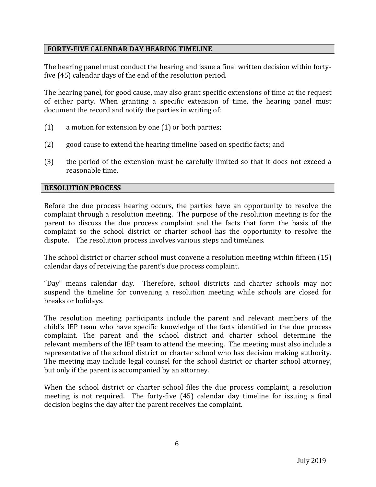# **FORTY-FIVE CALENDAR DAY HEARING TIMELINE**

The hearing panel must conduct the hearing and issue a final written decision within fortyfive (45) calendar days of the end of the resolution period.

The hearing panel, for good cause, may also grant specific extensions of time at the request of either party. When granting a specific extension of time, the hearing panel must document the record and notify the parties in writing of:

- (1) a motion for extension by one (1) or both parties;
- (2) good cause to extend the hearing timeline based on specific facts; and
- (3) the period of the extension must be carefully limited so that it does not exceed a reasonable time.

## **RESOLUTION PROCESS**

Before the due process hearing occurs, the parties have an opportunity to resolve the complaint through a resolution meeting. The purpose of the resolution meeting is for the parent to discuss the due process complaint and the facts that form the basis of the complaint so the school district or charter school has the opportunity to resolve the dispute. The resolution process involves various steps and timelines.

The school district or charter school must convene a resolution meeting within fifteen (15) calendar days of receiving the parent's due process complaint.

"Day" means calendar day. Therefore, school districts and charter schools may not suspend the timeline for convening a resolution meeting while schools are closed for breaks or holidays.

The resolution meeting participants include the parent and relevant members of the child's IEP team who have specific knowledge of the facts identified in the due process complaint. The parent and the school district and charter school determine the relevant members of the IEP team to attend the meeting. The meeting must also include a representative of the school district or charter school who has decision making authority. The meeting may include legal counsel for the school district or charter school attorney, but only if the parent is accompanied by an attorney.

When the school district or charter school files the due process complaint, a resolution meeting is not required. The forty-five (45) calendar day timeline for issuing a final decision begins the day after the parent receives the complaint.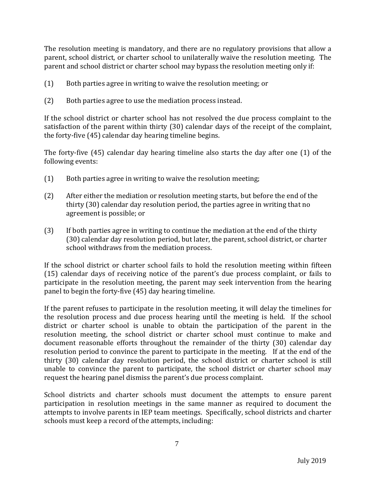The resolution meeting is mandatory, and there are no regulatory provisions that allow a parent, school district, or charter school to unilaterally waive the resolution meeting. The parent and school district or charter school may bypass the resolution meeting only if:

- (1) Both parties agree in writing to waive the resolution meeting; or
- (2) Both parties agree to use the mediation process instead.

If the school district or charter school has not resolved the due process complaint to the satisfaction of the parent within thirty (30) calendar days of the receipt of the complaint, the forty-five (45) calendar day hearing timeline begins.

The forty-five (45) calendar day hearing timeline also starts the day after one (1) of the following events:

- (1) Both parties agree in writing to waive the resolution meeting;
- (2) After either the mediation or resolution meeting starts, but before the end of the thirty (30) calendar day resolution period, the parties agree in writing that no agreement is possible; or
- (3) If both parties agree in writing to continue the mediation at the end of the thirty (30) calendar day resolution period, but later, the parent, school district, or charter school withdraws from the mediation process.

If the school district or charter school fails to hold the resolution meeting within fifteen (15) calendar days of receiving notice of the parent's due process complaint, or fails to participate in the resolution meeting, the parent may seek intervention from the hearing panel to begin the forty-five (45) day hearing timeline.

If the parent refuses to participate in the resolution meeting, it will delay the timelines for the resolution process and due process hearing until the meeting is held. If the school district or charter school is unable to obtain the participation of the parent in the resolution meeting, the school district or charter school must continue to make and document reasonable efforts throughout the remainder of the thirty (30) calendar day resolution period to convince the parent to participate in the meeting. If at the end of the thirty (30) calendar day resolution period, the school district or charter school is still unable to convince the parent to participate, the school district or charter school may request the hearing panel dismiss the parent's due process complaint.

School districts and charter schools must document the attempts to ensure parent participation in resolution meetings in the same manner as required to document the attempts to involve parents in IEP team meetings. Specifically, school districts and charter schools must keep a record of the attempts, including: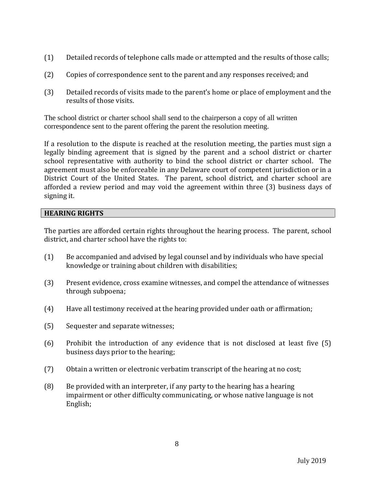- (1) Detailed records of telephone calls made or attempted and the results of those calls;
- (2) Copies of correspondence sent to the parent and any responses received; and
- (3) Detailed records of visits made to the parent's home or place of employment and the results of those visits.

The school district or charter school shall send to the chairperson a copy of all written correspondence sent to the parent offering the parent the resolution meeting.

If a resolution to the dispute is reached at the resolution meeting, the parties must sign a legally binding agreement that is signed by the parent and a school district or charter school representative with authority to bind the school district or charter school. The agreement must also be enforceable in any Delaware court of competent jurisdiction or in a District Court of the United States. The parent, school district, and charter school are afforded a review period and may void the agreement within three (3) business days of signing it.

# **HEARING RIGHTS**

The parties are afforded certain rights throughout the hearing process. The parent, school district, and charter school have the rights to:

- (1) Be accompanied and advised by legal counsel and by individuals who have special knowledge or training about children with disabilities;
- (3) Present evidence, cross examine witnesses, and compel the attendance of witnesses through subpoena;
- (4) Have all testimony received at the hearing provided under oath or affirmation;
- (5) Sequester and separate witnesses;
- (6) Prohibit the introduction of any evidence that is not disclosed at least five (5) business days prior to the hearing;
- (7) Obtain a written or electronic verbatim transcript of the hearing at no cost;
- (8) Be provided with an interpreter, if any party to the hearing has a hearing impairment or other difficulty communicating, or whose native language is not English;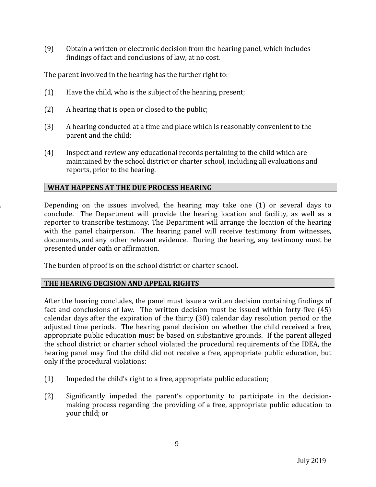(9) Obtain a written or electronic decision from the hearing panel, which includes findings of fact and conclusions of law, at no cost.

The parent involved in the hearing has the further right to:

- (1) Have the child, who is the subject of the hearing, present;
- (2) A hearing that is open or closed to the public;
- (3) A hearing conducted at a time and place which is reasonably convenient to the parent and the child;
- (4) Inspect and review any educational records pertaining to the child which are maintained by the school district or charter school, including all evaluations and reports, prior to the hearing.

# **WHAT HAPPENS AT THE DUE PROCESS HEARING**

. Depending on the issues involved, the hearing may take one (1) or several days to conclude. The Department will provide the hearing location and facility, as well as a reporter to transcribe testimony. The Department will arrange the location of the hearing with the panel chairperson. The hearing panel will receive testimony from witnesses, documents, and any other relevant evidence. During the hearing, any testimony must be presented under oath or affirmation.

The burden of proof is on the school district or charter school.

# **THE HEARING DECISION AND APPEAL RIGHTS**

After the hearing concludes, the panel must issue a written decision containing findings of fact and conclusions of law. The written decision must be issued within forty-five (45) calendar days after the expiration of the thirty (30) calendar day resolution period or the adjusted time periods. The hearing panel decision on whether the child received a free, appropriate public education must be based on substantive grounds. If the parent alleged the school district or charter school violated the procedural requirements of the IDEA, the hearing panel may find the child did not receive a free, appropriate public education, but only if the procedural violations:

- (1) Impeded the child's right to a free, appropriate public education;
- (2) Significantly impeded the parent's opportunity to participate in the decisionmaking process regarding the providing of a free, appropriate public education to your child; or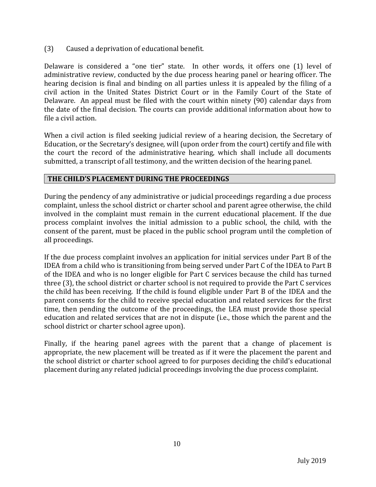(3) Caused a deprivation of educational benefit.

Delaware is considered a "one tier" state. In other words, it offers one (1) level of administrative review, conducted by the due process hearing panel or hearing officer. The hearing decision is final and binding on all parties unless it is appealed by the filing of a civil action in the United States District Court or in the Family Court of the State of Delaware. An appeal must be filed with the court within ninety (90) calendar days from the date of the final decision. The courts can provide additional information about how to file a civil action.

When a civil action is filed seeking judicial review of a hearing decision, the Secretary of Education, or the Secretary's designee*,* will (upon order from the court) certify and file with the court the record of the administrative hearing, which shall include all documents submitted, a transcript of all testimony, and the written decision of the hearing panel.

# **THE CHILD'S PLACEMENT DURING THE PROCEEDINGS**

During the pendency of any administrative or judicial proceedings regarding a due process complaint, unless the school district or charter school and parent agree otherwise, the child involved in the complaint must remain in the current educational placement. If the due process complaint involves the initial admission to a public school, the child, with the consent of the parent, must be placed in the public school program until the completion of all proceedings.

If the due process complaint involves an application for initial services under Part B of the IDEA from a child who is transitioning from being served under Part C of the IDEA to Part B of the IDEA and who is no longer eligible for Part C services because the child has turned three (3), the school district or charter school is not required to provide the Part C services the child has been receiving. If the child is found eligible under Part B of the IDEA and the parent consents for the child to receive special education and related services for the first time, then pending the outcome of the proceedings, the LEA must provide those special education and related services that are not in dispute (i.e., those which the parent and the school district or charter school agree upon).

Finally, if the hearing panel agrees with the parent that a change of placement is appropriate, the new placement will be treated as if it were the placement the parent and the school district or charter school agreed to for purposes deciding the child's educational placement during any related judicial proceedings involving the due process complaint.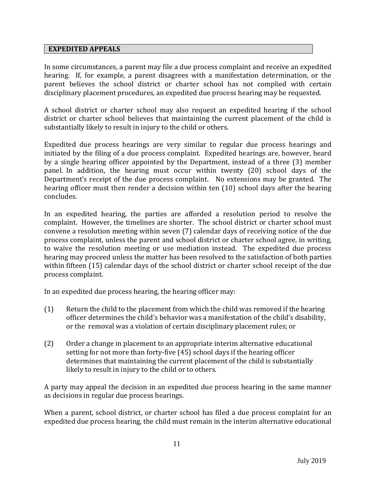## **EXPEDITED APPEALS**

In some circumstances, a parent may file a due process complaint and receive an expedited hearing. If, for example, a parent disagrees with a manifestation determination, or the parent believes the school district or charter school has not complied with certain disciplinary placement procedures, an expedited due process hearing may be requested.

A school district or charter school may also request an expedited hearing if the school district or charter school believes that maintaining the current placement of the child is substantially likely to result in injury to the child or others.

Expedited due process hearings are very similar to regular due process hearings and initiated by the filing of a due process complaint. Expedited hearings are, however, heard by a single hearing officer appointed by the Department, instead of a three (3) member panel. In addition, the hearing must occur within twenty (20) school days of the Department's receipt of the due process complaint. No extensions may be granted. The hearing officer must then render a decision within ten (10) school days after the hearing concludes.

In an expedited hearing, the parties are afforded a resolution period to resolve the complaint. However, the timelines are shorter. The school district or charter school must convene a resolution meeting within seven (7) calendar days of receiving notice of the due process complaint, unless the parent and school district or charter school agree, in writing, to waive the resolution meeting or use mediation instead. The expedited due process hearing may proceed unless the matter has been resolved to the satisfaction of both parties within fifteen (15) calendar days of the school district or charter school receipt of the due process complaint.

In an expedited due process hearing, the hearing officer may:

- (1) Return the child to the placement from which the child was removed if the hearing officer determines the child's behavior was a manifestation of the child's disability, or the removal was a violation of certain disciplinary placement rules; or
- (2) Order a change in placement to an appropriate interim alternative educational setting for not more than forty-five (45) school days if the hearing officer determines that maintaining the current placement of the child is substantially likely to result in injury to the child or to others.

A party may appeal the decision in an expedited due process hearing in the same manner as decisions in regular due process hearings.

When a parent, school district, or charter school has filed a due process complaint for an expedited due process hearing, the child must remain in the interim alternative educational